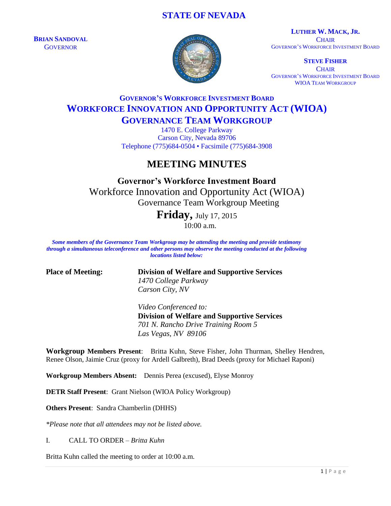## **STATE OF NEVADA**

**BRIAN SANDOVAL GOVERNOR** 



**LUTHER W. MACK, JR. CHAIR** GOVERNOR'S WORKFORCE INVESTMENT BOARD

**STEVE FISHER CHAIR** GOVERNOR'S WORKFORCE INVESTMENT BOARD WIOA TEAM WORKGROUP

# **GOVERNOR'S WORKFORCE INVESTMENT BOARD WORKFORCE INNOVATION AND OPPORTUNITY ACT (WIOA) GOVERNANCE TEAM WORKGROUP**

1470 E. College Parkway Carson City, Nevada 89706 Telephone (775)684-0504 • Facsimile (775)684-3908

# **MEETING MINUTES**

**Governor's Workforce Investment Board** Workforce Innovation and Opportunity Act (WIOA) Governance Team Workgroup Meeting

> **Friday,** July 17, 2015 10:00 a.m.

*Some members of the Governance Team Workgroup may be attending the meeting and provide testimony through a simultaneous teleconference and other persons may observe the meeting conducted at the following locations listed below:*

**Place of Meeting: Division of Welfare and Supportive Services** *1470 College Parkway Carson City, NV*

> *Video Conferenced to:* **Division of Welfare and Supportive Services**  *701 N. Rancho Drive Training Room 5 Las Vegas, NV 89106*

**Workgroup Members Present**: Britta Kuhn, Steve Fisher, John Thurman, Shelley Hendren, Renee Olson, Jaimie Cruz (proxy for Ardell Galbreth), Brad Deeds (proxy for Michael Raponi)

**Workgroup Members Absent:** Dennis Perea (excused), Elyse Monroy

**DETR Staff Present**: Grant Nielson (WIOA Policy Workgroup)

**Others Present**: Sandra Chamberlin (DHHS)

*\*Please note that all attendees may not be listed above.*

I. CALL TO ORDER – *Britta Kuhn*

Britta Kuhn called the meeting to order at 10:00 a.m.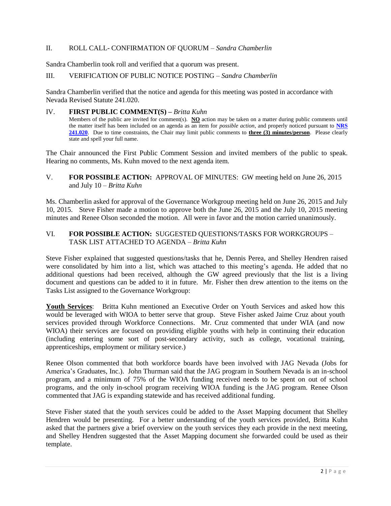## II. ROLL CALL- CONFIRMATION OF QUORUM – *Sandra Chamberlin*

Sandra Chamberlin took roll and verified that a quorum was present.

#### III. VERIFICATION OF PUBLIC NOTICE POSTING – *Sandra Chamberlin*

Sandra Chamberlin verified that the notice and agenda for this meeting was posted in accordance with Nevada Revised Statute 241.020.

#### IV. **FIRST PUBLIC COMMENT(S) –** *Britta Kuhn*

Members of the public are invited for comment(s). **NO** action may be taken on a matter during public comments until the matter itself has been included on an agenda as an item for *possible action*, and properly noticed pursuant to **[NRS](http://www.leg.state.nv.us/NRS/NRS-241.html#NRS241Sec020)  [241.020](http://www.leg.state.nv.us/NRS/NRS-241.html#NRS241Sec020)**. Due to time constraints, the Chair may limit public comments to **three (3) minutes/person**. Please clearly state and spell your full name.

The Chair announced the First Public Comment Session and invited members of the public to speak. Hearing no comments, Ms. Kuhn moved to the next agenda item.

V. **FOR POSSIBLE ACTION:** APPROVAL OF MINUTES: GW meeting held on June 26, 2015 and July 10 – *Britta Kuhn*

Ms. Chamberlin asked for approval of the Governance Workgroup meeting held on June 26, 2015 and July 10, 2015. Steve Fisher made a motion to approve both the June 26, 2015 and the July 10, 2015 meeting minutes and Renee Olson seconded the motion. All were in favor and the motion carried unanimously.

### VI. **FOR POSSIBLE ACTION:** SUGGESTED QUESTIONS/TASKS FOR WORKGROUPS – TASK LIST ATTACHED TO AGENDA – *Britta Kuhn*

Steve Fisher explained that suggested questions/tasks that he, Dennis Perea, and Shelley Hendren raised were consolidated by him into a list, which was attached to this meeting's agenda. He added that no additional questions had been received, although the GW agreed previously that the list is a living document and questions can be added to it in future. Mr. Fisher then drew attention to the items on the Tasks List assigned to the Governance Workgroup:

**Youth Services**: Britta Kuhn mentioned an Executive Order on Youth Services and asked how this would be leveraged with WIOA to better serve that group. Steve Fisher asked Jaime Cruz about youth services provided through Workforce Connections. Mr. Cruz commented that under WIA (and now WIOA) their services are focused on providing eligible youths with help in continuing their education (including entering some sort of post-secondary activity, such as college, vocational training, apprenticeships, employment or military service.)

Renee Olson commented that both workforce boards have been involved with JAG Nevada (Jobs for America's Graduates, Inc.). John Thurman said that the JAG program in Southern Nevada is an in-school program, and a minimum of 75% of the WIOA funding received needs to be spent on out of school programs, and the only in-school program receiving WIOA funding is the JAG program. Renee Olson commented that JAG is expanding statewide and has received additional funding.

Steve Fisher stated that the youth services could be added to the Asset Mapping document that Shelley Hendren would be presenting. For a better understanding of the youth services provided, Britta Kuhn asked that the partners give a brief overview on the youth services they each provide in the next meeting, and Shelley Hendren suggested that the Asset Mapping document she forwarded could be used as their template.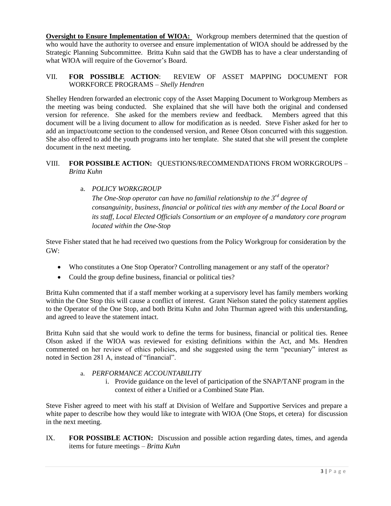**Oversight to Ensure Implementation of WIOA:** Workgroup members determined that the question of who would have the authority to oversee and ensure implementation of WIOA should be addressed by the Strategic Planning Subcommittee. Britta Kuhn said that the GWDB has to have a clear understanding of what WIOA will require of the Governor's Board.

## VII. **FOR POSSIBLE ACTION**: REVIEW OF ASSET MAPPING DOCUMENT FOR WORKFORCE PROGRAMS – *Shelly Hendren*

Shelley Hendren forwarded an electronic copy of the Asset Mapping Document to Workgroup Members as the meeting was being conducted. She explained that she will have both the original and condensed version for reference. She asked for the members review and feedback. Members agreed that this document will be a living document to allow for modification as is needed. Steve Fisher asked for her to add an impact/outcome section to the condensed version, and Renee Olson concurred with this suggestion. She also offered to add the youth programs into her template. She stated that she will present the complete document in the next meeting.

## VIII. **FOR POSSIBLE ACTION:** QUESTIONS/RECOMMENDATIONS FROM WORKGROUPS – *Britta Kuhn*

a. *POLICY WORKGROUP* 

*The One-Stop operator can have no familial relationship to the 3rd degree of consanguinity, business, financial or political ties with any member of the Local Board or its staff, Local Elected Officials Consortium or an employee of a mandatory core program located within the One-Stop*

Steve Fisher stated that he had received two questions from the Policy Workgroup for consideration by the GW:

- Who constitutes a One Stop Operator? Controlling management or any staff of the operator?
- Could the group define business, financial or political ties?

Britta Kuhn commented that if a staff member working at a supervisory level has family members working within the One Stop this will cause a conflict of interest. Grant Nielson stated the policy statement applies to the Operator of the One Stop, and both Britta Kuhn and John Thurman agreed with this understanding, and agreed to leave the statement intact.

Britta Kuhn said that she would work to define the terms for business, financial or political ties. Renee Olson asked if the WIOA was reviewed for existing definitions within the Act, and Ms. Hendren commented on her review of ethics policies, and she suggested using the term "pecuniary" interest as noted in Section 281 A, instead of "financial".

#### a. *PERFORMANCE ACCOUNTABILITY*

i. Provide guidance on the level of participation of the SNAP/TANF program in the context of either a Unified or a Combined State Plan.

Steve Fisher agreed to meet with his staff at Division of Welfare and Supportive Services and prepare a white paper to describe how they would like to integrate with WIOA (One Stops, et cetera) for discussion in the next meeting.

IX. **FOR POSSIBLE ACTION:** Discussion and possible action regarding dates, times, and agenda items for future meetings – *Britta Kuhn*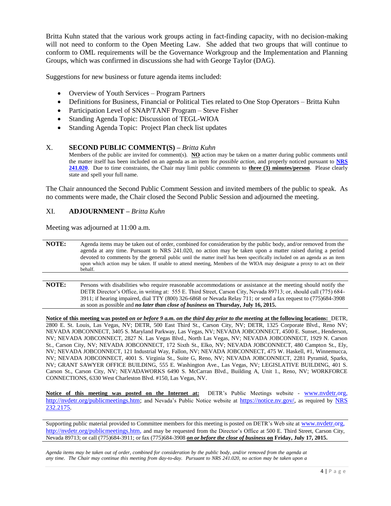Britta Kuhn stated that the various work groups acting in fact-finding capacity, with no decision-making will not need to conform to the Open Meeting Law. She added that two groups that will continue to conform to OML requirements will be the Governance Workgroup and the Implementation and Planning Groups, which was confirmed in discussions she had with George Taylor (DAG).

Suggestions for new business or future agenda items included:

- Overview of Youth Services Program Partners
- Definitions for Business, Financial or Political Ties related to One Stop Operators Britta Kuhn
- Participation Level of SNAP/TANF Program Steve Fisher
- Standing Agenda Topic: Discussion of TEGL-WIOA
- Standing Agenda Topic: Project Plan check list updates

#### X. **SECOND PUBLIC COMMENT(S) –** *Britta Kuhn*

Members of the public are invited for comment(s). **NO** action may be taken on a matter during public comments until the matter itself has been included on an agenda as an item for *possible action*, and properly noticed pursuant to **[NRS](http://www.leg.state.nv.us/NRS/NRS-241.html#NRS241Sec020)  [241.020](http://www.leg.state.nv.us/NRS/NRS-241.html#NRS241Sec020)**. Due to time constraints, the Chair may limit public comments to **three (3) minutes/person**. Please clearly state and spell your full name.

The Chair announced the Second Public Comment Session and invited members of the public to speak. As no comments were made, the Chair closed the Second Public Session and adjourned the meeting.

#### XI. **ADJOURNMENT –** *Britta Kuhn*

Meeting was adjourned at 11:00 a.m.

**NOTE:** Agenda items may be taken out of order, combined for consideration by the public body, and/or removed from the agenda at any time. Pursuant to NRS 241.020, no action may be taken upon a matter raised during a period devoted to comments by the general public until the matter itself has been specifically included on an agenda as an item upon which action may be taken. If unable to attend meeting, Members of the WIOA may designate a proxy to act on their behalf.

**NOTE:** Persons with disabilities who require reasonable accommodations or assistance at the meeting should notify the DETR Director's Office, in writing at: 555 E. Third Street, Carson City, Nevada 89713; or, should call (775) 684- 3911; if hearing impaired, dial TTY (800) 326-6868 or Nevada Relay 711; or send a fax request to (775)684-3908 as soon as possible and *no later than close of business* **on Thursday, July 16, 2015.**

**Notice of this meeting was posted** *on or before 9 a.m. on the third day prior to the meeting* **at the following locations:** DETR, 2800 E. St. Louis, Las Vegas, NV; DETR, 500 East Third St., Carson City, NV; DETR, 1325 Corporate Blvd., Reno NV; NEVADA JOBCONNECT, 3405 S. Maryland Parkway, Las Vegas, NV; NEVADA JOBCONNECT, 4500 E. Sunset., Henderson, NV; NEVADA JOBCONNECT, 2827 N. Las Vegas Blvd., North Las Vegas, NV; NEVADA JOBCONNECT, 1929 N. Carson St., Carson City, NV; NEVADA JOBCONNECT, 172 Sixth St., Elko, NV; NEVADA JOBCONNECT, 480 Campton St., Ely, NV; NEVADA JOBCONNECT, 121 Industrial Way, Fallon, NV; NEVADA JOBCONNECT, 475 W. Haskell, #1, Winnemucca, NV; NEVADA JOBCONNECT, 4001 S. Virginia St., Suite G, Reno, NV; NEVADA JOBCONNECT, 2281 Pyramid, Sparks, NV; GRANT SAWYER OFFICE BUILDING, 555 E. Washington Ave., Las Vegas, NV; LEGISLATIVE BUILDING, 401 S. Carson St., Carson City, NV; NEVADAWORKS 6490 S. McCarran Blvd., Building A, Unit 1., Reno, NV; WORKFORCE CONNECTIONS, 6330 West Charleston Blvd. #150, Las Vegas, NV.

**Notice of this meeting was posted on the Internet at:** DETR's Public Meetings website - [www.nvdetr.org,](http://www.nvdetr.org/) [http://nvdetr.org/publicmeetings.htm;](http://nvdetr.org/publicmeetings.htm) and Nevada's Public Notice website at [https://notice.nv.gov/,](https://notice.nv.gov/) as required by NRS [232.2175.](http://www.leg.state.nv.us/NRS/NRS-232.html#NRS232Sec2175)

Supporting public material provided to Committee members for this meeting is posted on DETR's Web site at [www.nvdetr.org,](http://www.nvdetr.org/) [http://nvdetr.org/publicmeetings.htm,](http://nvdetr.org/publicmeetings.htm) and may be requested from the Director's Office at 500 E. Third Street, Carson City, Nevada 89713; or call (775)684-3911; or fax (775)684-3908 *on or before the close of business* **on Friday, July 17, 2015.**

*Agenda items may be taken out of order, combined for consideration by the public body, and/or removed from the agenda at any time. The Chair may continue this meeting from day-to-day. Pursuant to NRS 241.020, no action may be taken upon a*